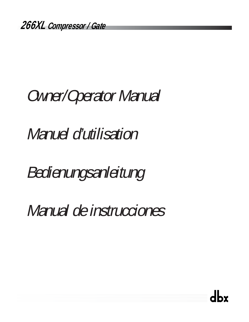# Owner/Operator Manual

Manuel d'utilisation

Bedienungsanleitung

Manual de instrucciones

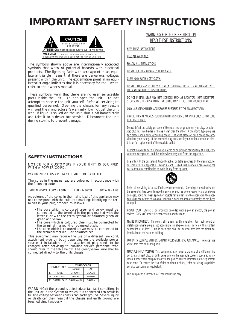## **IMPORTANT SAFETY INSTRUCTIONS**



The symbols shown above are internationally accepted symbols that warn of potential hazards with electrical products. The lightning flash with arrowpoint in an equilateral triangle means that there are dangerous voltages present within the unit. The exclamation point in an equilateral triangle indicates that it is necessary for the user to refer to the owner's manual.

These symbols warn that there are no user serviceable parts inside the unit. Do not open the unit. Do not attempt to service the unit yourself. Refer all servicing to qualified personnel. Opening the chassis for any reason will void the manufacturer's warranty. Do not get the unit wet. If liquid is spilled on the unit, shut it off immediately and take it to a dealer for service. Disconnect the unit during storms to prevent damage.

### **SAFETY INSTRUCTIONS**

NOTICE FOR CUSTOMERS IF YOUR UNIT IS EQUIPPED WITH A POWER CORD.

WARNING: THIS APPLIANCE MUST BE EARTHED.

The cores in the mains lead are coloured in accordance with the following code:

GREEN and YELLOW - Earth BLUE - Neutral BROWN - Live

As colours of the cores in the mains lead of this appliance may not correspond with the coloured markings identifying the terminals in your plug, proceed as follows:

- The core which is coloured green and yellow must be connected to the terminal in the plug marked with the letter E, or with the earth symbol, or coloured green, or green and yellow.
- The core which is coloured blue must be connected to the terminal marked N or coloured black.
- The core which is coloured brown must be connected to the terminal marked L or coloured red.

This equipment may require the use of a different line cord,<br>attachment plug, or both, depending on the available power<br>source at installation. If the attachment plug needs to<br>changed, refer servicing to qualified service connected directly to the units chassis.

|  | <b>CONDUCTOR</b> |                    | WIRE COLOR   |              |  |  |
|--|------------------|--------------------|--------------|--------------|--|--|
|  |                  |                    | Normal       | Alt          |  |  |
|  |                  | I IVE              | <b>BROWN</b> | <b>BLACK</b> |  |  |
|  | N                | <b>NEUTRAL</b>     | <b>BLUE</b>  | <b>WHITE</b> |  |  |
|  | F                | EARTH GND GREENTEL |              | GREEN        |  |  |

WARNING: If the ground is defeated, certain fault conditions in the unit or in the system to which it is connected can result in full line voltage between chassis and earth ground. Severe injury or death can then result if the chassis and earth ground are touched simultaneously.

### WARNING FOR YOUR PROTECTION READ THESE INSTRUCTIONS:

KEEP THESE INSTRUCTIONS

**HEED ALL WARNINGS** 

FOLLOW ALL INSTRUCTIONS

DO NOT USE THIS APPARATUS NEAR WATER

CLEAN ONLY WITH A DRY CLOTH.

DO NOT BLOCK ANY OF THE VENTILATION OPENINGS. INSTALL IN ACCORDANCE WITH THE MANUFACTURER'S INSTRUCTIONS.

DO NOT INSTALL NEAR ANY HEAT SOURCES SUCH AS RADIATORS, HEAT REGISTERS, STOVES, OR OTHER APPARATUS (INCLUDING AMPLIFIERS) THAT PRODUCE HEAT.

ONLY USE ATTACHMENTS/ACCESSORIES SPECIFIED BY THE MANUFACTURER.

UNPLUG THIS APPARATUS DURING LIGHTNING STORMS OR WHEN UNUSED FOR LONG PERIODS OF TIME.

Do not defeat the safety purpose of the polarized or grounding-type plug. A polarized plug has two blades with one wider than the other. A grounding type plug has two blades and a third grounding prong. The wide blade or third prong are provided for your safety. If the provided plug does not fit your outlet, consult an electrician for replacement of the obsolete outlet.

Protect the power cord from being walked on or pinched particularly at plugs, convenience receptacles, and the point where they exit from the apparatus.

Use only with the cart stand, tripod bracket, or table specified by the manufacture, or sold with the apparatus. When a cart is used, use caution when moving the cart/apparatus combination to avoid injury from tip-over.



Refer all servicing to to qualified service personnel. Servicing is required when the apparatus has been damaged in any way, such as power-supply cord or plug is damaged, liquid has been spilled or objects have fallen into the apparatus, the apparatus has been exposed to rain or moisture, does not operate normally, or has been dropped.

POWER ON/OFF SWITCH: For products provided with a power switch, the power switch DOES NOT break the connection from the mains.

MAINS DISCONNECT: The plug shall remain readily operable. For rack-mount or installation where plug is not accessible, an all-pole mains switch with a contact separation of at least 3 mm in each pole shall be incorporated into the electrical installation of the rack or building.

FOR UNITS EQUIPPED WITH EXTERNALLY ACCESSIBLE FUSE RECEPTACLE: Replace fuse with same type and rating only.

MULTIPLE-INPUT VOLTAGE: This equipment may require the use of a different line cord, attachment plug, or both, depending on the available power source at installation. Connect this equipment only to the power source indicated on the equipment rear panel. To reduce the risk of fire or electric shock, refer servicing to qualified service personnel or equivalent.

This Equipment is intended for rack mount use only.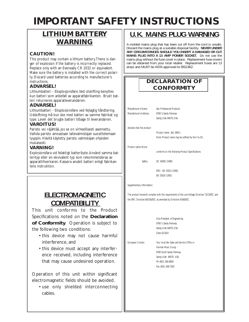## **IMPORTANT SAFETY INSTRUCTIONS**

## **LITHIUM BATTERY WARNING**

### **CAUTION!**

This product may contain a lithium battery.There is danger of explosion if the battery is incorrectly replaced. Replace only with an Eveready CR 2032 or equivalent. Make sure the battery is installed with the correct polarity. Discard used batteries according to manufacturer's instructions.

### **ADVARSEL!**

Lithiumbatteri - Eksplosjonsfare.Ved utskifting benyttes kun batteri som anbefalt av apparatfabrikanten. Brukt batteri returneres apparatleverandøren.

### **ADVARSEL!**

Lithiumbatteri - Eksplosionsfare ved fejlagtig håndtering. Udskiftning må kun ske med batteri av samme fabrikat og type. Levér det brugte batteri tilbage til leverandøren.

### **VAROITUS!**

Paristo voi räjähtää, jos se on virheellisesti asennettu. Vaihda paristo ainoastaan laitevalmistajan suosittelemaan tyyppin. Hävitä käytetty paristo valmistajan ohjeiden mukaisesti.

### **VARNING!**

Explosionsfara vid felaktigt batteribyte.Använd samma batterityp eller en ekvivalent typ som rekommenderas av apparattillverkaren. Kassera använt batteri enligt fabrikantens instruktion.

### **ELECTROMAGNETIC COMPATIBILITY**

This unit conforms to the Product Specifications noted on the **Declaration of Conformity**. Operation is subject to the following two conditions:

- this device may not cause harmful interference, and
- this device must accept any interference received, including interference that may cause undesired operation.

Operation of this unit within significant electromagnetic fields should be avoided.

• use only shielded interconnecting cables.

## **U.K. MAINS PLUG WARNING**

A molded mains plug that has been cut off from the cord is unsafe. Discard the mains plug at a suitable disposal facility. **NEVER UNDER ANY CIRCUMSTANCES SHOULD YOU INSERT A DAMAGED OR CUT MAINS PLUG INTO A 13 AMP POWER SOCKET.** Do not use the mains plug without the fuse cover in place. Replacement fuse covers can be obtained from your local retailer. Replacement fuses are 13 amps and MUST be ASTA approved to BS1362.

|                            | <b>DECLARATION OF</b>                              |  |  |
|----------------------------|----------------------------------------------------|--|--|
| <b>CONFORMITY</b>          |                                                    |  |  |
|                            |                                                    |  |  |
|                            |                                                    |  |  |
| Manufacturer's Name:       | dbx Professional Products                          |  |  |
| Manufacturer's Address:    | 8760 S. Sandy Parkway                              |  |  |
|                            | Sandy, Utah 84070, USA                             |  |  |
| declares that the product: |                                                    |  |  |
|                            | Product name: dbx 266XL                            |  |  |
|                            | Note: Product name may be suffixed by the II & EU. |  |  |
| Product option: None       |                                                    |  |  |
|                            | conforms to the following Product Specifications:  |  |  |

Safety: IEC 60065 (1998)

EMC: EN 55013 (1990) EN 55020 (1991)

Supplementary Information:

The product herewith complies with the requirements of the Low Voltage Directive 73/23/EEC and the EMC Directive 89/336/EEC as amended by Directive 93/68/EEC.

> Vice-President of Engineering 8760 S. Sandy Parkway Sandy, Utah 84070, USA Date: 6/23/03

European Contact: Your local dbx Sales and Service Office or Harman Music Group 8760 South Sandy Parkway Sandy, Utah 84070 USA Ph: (801) 566-8800 Fax: (801) 568-7583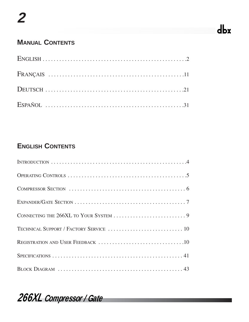## dbx

## **MANUAL CONTENTS**

## **ENGLISH CONTENTS**

*266XL Compressor / Gate*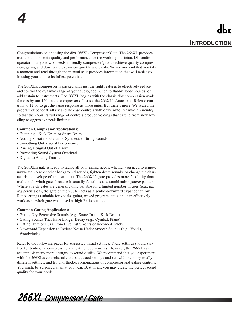Congratulations on choosing the dbx 266XL Compressor/Gate. The 266XL provides traditional dbx sonic quality and performance for the working musician, DJ, studio operator or anyone who needs a friendly compressor/gate to achieve quality compression, gating and downward expansion quickly and easily. We recommend that you take a moment and read through the manual as it provides information that will assist you in using your unit to its fullest potential.

The 266XL's compressor is packed with just the right features to effectively reduce and control the dynamic range of your audio, add punch to flabby, loose sounds, or add sustain to instruments. The 266XL begins with the classic dbx compression made famous by our 160 line of compressors. Just set the 266XL's Attack and Release controls to 12:00 to get the same response as those units. But there's more. We scaled the program-dependent Attack and Release controls with dbx's AutoDynamic™ circuitry, so that the 266XL's full range of controls produce voicings that extend from slow leveling to aggressive peak limiting.

### **Common Compressor Applications:**

- Fattening a Kick Drum or Snare Drum
- Adding Sustain to Guitar or Synthesizer String Sounds
- Smoothing Out a Vocal Performance
- Raising a Signal Out of a Mix
- Preventing Sound System Overload
- Digital to Analog Transfers

**4**

The 266XL's gate is ready to tackle all your gating needs, whether you need to remove unwanted noise or other background sounds, tighten drum sounds, or change the characteristic envelope of an instrument. The 266XL's gate provides more flexibility than traditional switch gates because it actually functions as a combination gate/expander. Where switch gates are generally only suitable for a limited number of uses (e.g., gating percussion), the gate on the 266XL acts as a gentle downward expander at low Ratio settings (suitable for vocals, guitar, mixed program, etc.), and can effectively work as a switch gate when used at high Ratio settings.

### **Common Gating Applications:**

- Gating Dry Percussive Sounds (e.g., Snare Drum, Kick Drum)
- Gating Sounds That Have Longer Decay (e.g., Cymbal, Piano)
- Gating Hum or Buzz From Live Instruments or Recorded Tracks
- Downward Expansion to Reduce Noise Under Smooth Sounds (e.g., Vocals, Woodwinds)

Refer to the following pages for suggested initial settings. These settings should suffice for traditional compressing and gating requirements. However, the 266XL can accomplish many more changes to sound quality. We recommend that you experiment with the 266XL's controls; take our suggested settings and run with them, try totally different settings, and try unorthodox combinations of compressor and gating controls. You might be surprised at what you hear. Best of all, you may create the perfect sound quality for your needs.

*266XL Compressor / Gate*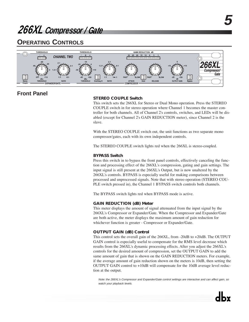## **OPERATING CONTROLS**



### **Front Panel**

### **STEREO COUPLE Switch**

This switch sets the 266XL for Stereo or Dual Mono operation. Press the STEREO COUPLE switch in for stereo operation where Channel 1 becomes the master controller for both channels. All of Channel 2's controls, switches, and LEDs will be disabled (except for Channel 2's GAIN REDUCTION meter), since Channel 2 is the slave.

With the STEREO COUPLE switch out, the unit functions as two separate mono compressor/gates, each with its own independent controls.

The STEREO COUPLE switch lights red when the 266XL is stereo-coupled.

### **BYPASS Switch**

Press this switch in to bypass the front panel controls, effectively canceling the function and processing effect of the 266XL's compression, gating and gain settings. The input signal is still present at the 266XL's Output, but is now unaltered by the 266XL's controls. BYPASS is especially useful for making comparisons between processed and unprocessed signals. Note that with stereo operation (STEREO COU-PLE switch pressed in), the Channel 1 BYPASS switch controls both channels.

The BYPASS switch lights red when BYPASS mode is active.

### **GAIN REDUCTION (dB) Meter**

This meter displays the amount of signal attenuated from the input signal by the 266XL's Compressor or Expander/Gate. When the Compressor and Expander/Gate are both active, the meter displays the maximum amount of gain reduction for whichever function is greater - Compressor or Expander/Gate.

### **OUTPUT GAIN (dB) Control**

This control sets the overall gain of the 266XL, from -20dB to +20dB. The OUTPUT GAIN control is especially useful to compensate for the RMS level decrease which results from the 266XL's dynamic processing effects. After you adjust the 266XL's controls for the desired amount of compression, set the OUTPUT GAIN to add the same amount of gain that is shown on the GAIN REDUCTION meters. For example, if the average amount of gain reduction shown on the meters is 10dB, then setting the OUTPUT GAIN control to +10dB will compensate for the 10dB average level reduction at the output.

Note: the 266XL's Compressor and Expander/Gate control settings are interactive and can affect gain, so watch your playback levels.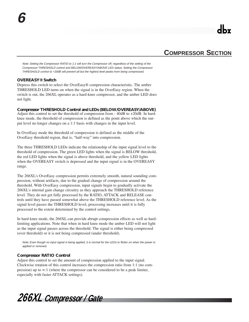### **COMPRESSOR SECTION**

Note: Setting the Compressor RATIO to 1:1 will turn the Compressor off, regardless of the setting of the Compressor THRESHOLD control and BELOW/OVEREASY/ABOVE LED status. Setting the Compressor THRESHOLD control to +20dB will prevent all but the highest level peaks from being compressed.

### **OVEREASY® Switch**

**6**

Depress this switch to select the OverEasy® compression characteristic. The amber THRESHOLD LED turns on when the signal is in the OverEasy region. When the switch is out, the 266XL operates as a hard-knee compressor, and the amber LED does not light.

### **Compressor THRESHOLD Control and LEDs (BELOW/OVEREASY/ABOVE)**

Adjust this control to set the threshold of compression from - 40dB to +20dB. In hardknee mode, the threshold of compression is defined as the point above which the output level no longer changes on a 1:1 basis with changes in the input level.

In OverEasy mode the threshold of compression is defined as the middle of the OverEasy threshold region, that is, "half-way" into compression.

The three THRESHOLD LEDs indicate the relationship of the input signal level to the threshold of compression. The green LED lights when the signal is BELOW threshold, the red LED lights when the signal is above threshold, and the yellow LED lights when the OVEREASY switch is depressed and the input signal is in the OVEREASY range.

The 266XL's OverEasy compression permits extremely smooth, natural sounding compression, without artifacts, due to the gradual change of compression around the threshold. With OverEasy compression, input signals begin to gradually activate the 266XL's internal gain change circuitry as they approach the THRESHOLD reference level. They do not get fully processed by the RATIO, ATTACK and RELEASE controls until they have passed somewhat above the THRESHOLD reference level. As the signal level passes the THRESHOLD level, processing increases until it is fully processed to the extent determined by the control settings.

In hard-knee mode, the 266XL can provide abrupt compression effects as well as hardlimiting applications. Note that when in hard knee mode the amber LED will not light as the input signal passes across the threshold. The signal is either being compressed (over threshold) or it is not being compressed (under threshold).

Note: Even though no input signal is being applied, it is normal for the LEDs to flicker on when the power is applied or removed.

### **Compressor RATIO Control**

Adjust this control to set the amount of compression applied to the input signal. Clockwise rotation of this control increases the compression ratio from 1:1 (no compression) up to  $\infty$ :1 (where the compressor can be considered to be a peak limiter, especially with faster ATTACK settings).

*266XL Compressor / Gate*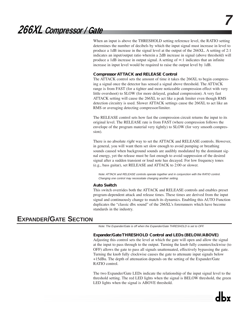When an input is above the THRESHOLD setting reference level, the RATIO setting determines the number of decibels by which the input signal must increase in level to produce a 1dB increase in the signal level at the output of the 266XL. A setting of 2:1 indicates an input/output ratio wherein a 2dB increase in signal (above threshold) will produce a 1dB increase in output signal. A setting of ∞:1 indicates that an infinite increase in input level would be required to raise the output level by 1dB.

### **Compressor ATTACK and RELEASE Control**

The ATTACK control sets the amount of time it takes the 266XL to begin compressing a signal once the detector has sensed a signal above threshold. The ATTACK range is from FAST (for a tighter and more noticeable compression effect with very little overshoot) to SLOW (for more delayed, gradual compression). A very fast ATTACK setting will cause the 266XL to act like a peak limiter even though RMS detection circuitry is used. Slower ATTACK settings cause the 266XL to act like an RMS or averaging detecting compressor/limiter.

The RELEASE control sets how fast the compression circuit returns the input to its original level. The RELEASE rate is from FAST (where compression follows the envelope of the program material very tightly) to SLOW (for very smooth compression).

There is no absolute *right* way to set the ATTACK and RELEASE controls. However, in general, you will want them set slow enough to avoid pumping or breathing sounds caused when background sounds are audibly modulated by the dominant signal energy, yet the release must be fast enough to avoid suppression of the desired signal after a sudden transient or loud note has decayed. For low frequency tones (e.g., bass guitar), set RELEASE and ATTACK to 2:00 or slower.

Note: ATTACK and RELEASE controls operate together and in conjunction with the RATIO control. Changing one control may necessitate changing another setting.

#### **Auto Switch**

This switch overrides both the ATTACK and RELEASE controls and enables preset program-dependent attack and release times. These times are derived from the input signal and continuously change to match its dynamics. Enabling this AUTO Function duplicates the "classic dbx sound" of the 266XL's forerunners which have become standards in the industry.

### **EXPANDER/GATE SECTION**

Note: The Expander/Gate is off when the Expander/Gate THRESHOLD is set to OFF.

### **Expander/Gate THRESHOLD Control and LEDs (BELOW/ABOVE)**

Adjusting this control sets the level at which the gate will open and allow the signal at the input to pass through to the output. Turning the knob fully counterclockwise (to OFF) allows the gate to pass all signals unattenuated, effectively bypassing the gate. Turning the knob fully clockwise causes the gate to attenuate input signals below +15dBu. The depth of attenuation depends on the setting of the Expander/Gate RATIO control.

The two Expander/Gate LEDs indicate the relationship of the input signal level to the threshold setting. The red LED lights when the signal is BELOW threshold, the green LED lights when the signal is ABOVE threshold.

**7**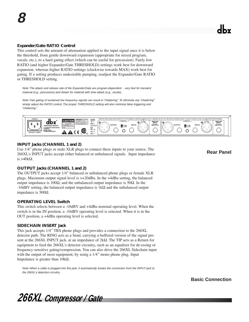### **Expander/Gate RATIO Control**

This control sets the amount of attenuation applied to the input signal once it is below the threshold, from gentle downward expansion (appropriate for mixed program, vocals, etc.), to a hard gating effect (which can be useful for percussion). Fairly low RATIO (and higher Expander/Gate THRESHOLD) settings work best for downward expansion, whereas higher RATIO settings (clockwise towards MAX) work best for gating. If a setting produces undesirable pumping, readjust the Expander/Gate RATIO or THRESHOLD setting.

Note: The attack and release rate of the Expander/Gate are program-dependent - very fast for transient material (e.g., percussion) and slower for material with slow attack (e.g., vocals).

Note: Fast gating of sustained low frequency signals can result in "chattering". To eliminate any "chattering" simply adjust the RATIO control. The proper THRESHOLD setting will also minimize false triggering and "chattering."



### **INPUT Jacks (CHANNEL 1 and 2)**

Use 1/4" phone plugs or male XLR plugs to connect these inputs to your source. The 266XL's INPUT jacks accept either balanced or unbalanced signals. Input impedance is >40 $k\Omega$ .

**Rear Panel**

### **OUTPUT Jacks (CHANNEL 1 and 2)**

The OUTPUT jacks accept 1/4" balanced or unbalanced phone plugs or female XLR plugs. Maximum output signal level is >+20dBu. In the +4dBu setting, the balanced output impedance is 100Ω, and the unbalanced output impedance is 50Ω. In the  $-10$ dBV setting, the balanced output impedance is  $1$ k $\Omega$  and the unbalanced output impedance is 500Ω.

### **OPERATING LEVEL Switch**

This switch selects between a -10dBV and +4dBu nominal operating level. When the switch is in the IN position, a -10dBV operating level is selected. When it is in the OUT position, a +4dBu operating level is selected.

### **SIDECHAIN INSERT Jack**

This jack accepts 1/4" TRS phone plugs and provides a connection to the 266XL detector path. The RING acts as a Send, carrying a buffered version of the signal present at the 266XL INPUT jack, at an impedance of 2kΩ. The TIP acts as a Return for equipment to feed the 266XL's detector circuitry, such as an equalizer for de-essing or frequency-sensitive gating/compression. You can also drive the 266XL Sidechain input with the output of most equipment, by using a 1/4" mono phone plug. Input Impedance is greater than 10kΩ.

Note: When a cable is plugged into this jack, it automatically breaks the connection from the INPUT jack to the 266XL's detection circuitry.

**Basic Connection**

*266XL Compressor / Gate*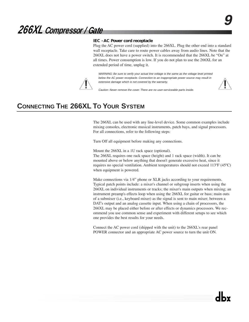*266XL Compressor / Gate*

### **IEC - AC Power cord receptacle**

Plug the AC power cord (supplied) into the 266XL. Plug the other end into a standard wall receptacle. Take care to route power cables away from audio lines. Note that the 266XL does not have a power switch. It is recommended that the 266XL be "On" at all times. Power consumption is low. If you do not plan to use the 266XL for an extended period of time, unplug it.

WARNING: Be sure to verify your actual line voltage is the same as the voltage level printed below the AC power receptacle. Connection to an inappropriate power source may result in extensive damage which is not covered by the warranty.



Caution: Never remove the cover. There are no user-serviceable parts inside.

## **CONNECTING THE 266XL TO YOUR SYSTEM**

The 266XL can be used with any line-level device. Some common examples include mixing consoles, electronic musical instruments, patch bays, and signal processors. For all connections, refer to the following steps:

Turn Off all equipment before making any connections.

Mount the 266XL in a 1U rack space (optional). The 266XL requires one rack space (height) and 1 rack space (width). It can be mounted above or below anything that doesn't generate excessive heat, since it requires no special ventilation. Ambient temperatures should not exceed 113ºF (45ºC) when equipment is powered.

Make connections via 1/4" phone or XLR jacks according to your requirements. Typical patch points include: a mixer's channel or subgroup inserts when using the 266XL on individual instruments or tracks; the mixer's main outputs when mixing; an instrument preamp's effects loop when using the 266XL for guitar or bass; main outs of a submixer (i.e., keyboard mixer) as the signal is sent to main mixer; between a DAT's output and an analog cassette input. When using a chain of processors, the 266XL may be placed either before or after effects or dynamics processors. We recommend you use common sense and experiment with different setups to see which one provides the best results for your needs.

Connect the AC power cord (shipped with the unit) to the 266XL's rear panel POWER connector and an appropriate AC power source to turn the unit ON.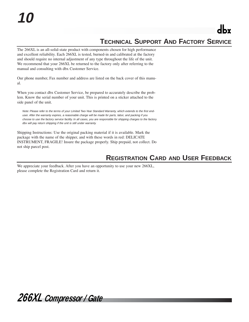The 266XL is an all-solid-state product with components chosen for high performance and excellent reliability. Each 266XL is tested, burned-in and calibrated at the factory and should require no internal adjustment of any type throughout the life of the unit. We recommend that your 266XL be returned to the factory only after referring to the manual and consulting with dbx Customer Service.

Our phone number, Fax number and address are listed on the back cover of this manual.

When you contact dbx Customer Service, be prepared to accurately describe the problem. Know the serial number of your unit. This is printed on a sticker attached to the side panel of the unit.

Note: Please refer to the terms of your Limited Two-Year Standard Warranty, which extends to the first enduser. After the warranty expires, a reasonable charge will be made for parts, labor, and packing if you choose to use the factory service facility. In all cases, you are responsible for shipping charges to the factory. dbx will pay return shipping if the unit is still under warranty.

Shipping Instructions: Use the original packing material if it is available. Mark the package with the name of the shipper, and with these words in red: DELICATE INSTRUMENT, FRAGILE! Insure the package properly. Ship prepaid, not collect. Do not ship parcel post.

## **REGISTRATION CARD AND USER FEEDBACK**

We appreciate your feedback. After you have an opportunity to use your new 266XL, please complete the Registration Card and return it.

*266XL Compressor / Gate*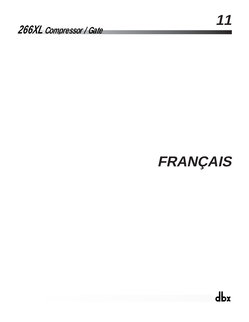# **FRANÇAIS**

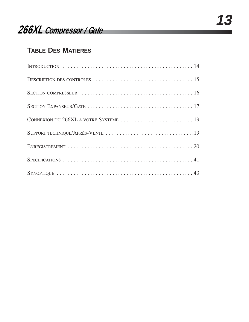## **TABLE DES MATIERES**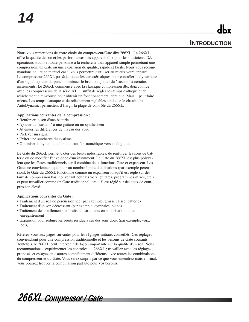Nous vous remercions de votre choix du compresseur/Gate dbx 266XL. Le 266XL offre la qualité de son et les performances des appareils dbx pour les musiciens, DJ, opérateurs studio et toute personne à la recherche d'un appareil simple permettant une compression, un Gate ou une expansion de qualité, rapide et facile. Nous vous recommandons de lire ce manuel car il vous permettra d'utiliser au mieux votre appareil. Le compresseur 266XL possède toutes les caractéristiques pour contrôler la dynamique d'un signal, ajouter du punch, diminuer le bruit ou ajouter du "sustain" à certains instruments. Le 266XL commence avec la classique compression dbx déjà connue avec les compresseurs de la série 160, il suffit de régler les temps d'attaque et de relâchement à mi-course pour obtenir un fonctionnement identique. Mais il peut faire mieux. Les temps d'attaque et de relâchement réglables ainsi que le circuit dbx AutoDynamic, permettent d'élargir la plage de contrôle du 266XL.

### **Applications courantes de la compression :**

- Renforcer le son d'une batterie
- Ajouter du "sustain" à une guitare ou un synthétiseur
- Atténuer les différences de niveau des voix
- Prélever un signal
- Eviter une surcharge du système
- Optimiser la dynamique lors du transfert numérique vers analogique.

Le Gate du 266XL permet d'oter des bruits indésirables, de renforcer les sons de batterie ou de modifier l'enveloppe d'un instrument. Le Gate du 266XL est plus polyvalent que les Gates traditionnels car il combine deux fonctions Gate et expanseur. Les Gates ne conviennent que pour un nombre limité d'utilisations (par exemple percussion), le Gate du 266XL fonctionne comme un expanseur lorsqu'il est réglé sur des taux de compression bas (convenant pour les voix, guitares, programmes mixés, etc.) et peut travailler comme un Gate traditionnel lorsqu'il est réglé sur des taux de compression élevés.

### **Applications courantes du Gate :**

- Traitement d'un son de percussion sec (par exemple, grosse caisse, batterie)
- Traitement d'un son décroissant (par exemple, cymbales, piano)
- Traitement des ronflements et bruits d'instruments en sonorisation ou en enregistrement
- Expansion pour réduire les bruits résiduels sur des sons doux (par exemple, voix, bois)

Référez-vous aux pages suivantes pour les réglages initiaux conseillés. Ces réglages conviendront pour une compression traditionnelle et les besoins de Gate courants. Toutefois, le 266XL peut intervenir de façon importante sur la qualité d'un son. Nous recommandons d'expérimenter les contrôles du 266XL ; travaillez avec les réglages proposés et essayez en d'autres complètement différents, avec toutes les combinaisons du compresseur et du Gate. Vous serez surpris par ce que vous entendrez mais en final, vous pourrez trouver la combinaison parfaite pour vos besoins.

*266XL Compressor / Gate*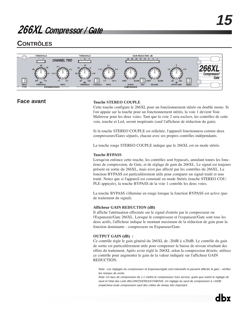## **CONTRÔLES**



### **Face avant Touche STEREO COUPLE**

Cette touche configure le 266XL pour un fonctionnement stéréo ou double mono. Si l'on appuie sur la touche pour un fonctionnement stéréo, la voie 1 devient Voie Maîtresse pour les deux voies. Tant que la voie 2 sera esclave, les contrôles de cette voie, touche et Led, seront inopérants (sauf l'afficheur de réduction du gain).

Si la touche STEREO COUPLE est relâchée, l'appareil fonctionnera comme deux compresseurs/Gates séparés, chacun avec ses propres contrôles indépendants.

La touche rouge STEREO COUPLE indique que le 266XL est en mode stéréo.

### **Touche BYPASS**

Lorsqu'on enfonce cette touche, les contrôles sont bypassés, annulant toutes les fonctions de compression, de Gate, et de réglage de gain du 266XL. Le signal est toujours présent en sortie du 266XL, mais n'est pas affecté par les contrôles du 266XL. La fonction BYPASS est particulièrement utile pour comparer un signal traité et non traité. Notez que si l'appareil est commuté en mode Stéréo (touche STEREO COU-PLE appuyée), la touche BYPASS de la voie 1 contrôle les deux voies.

La touche BYPASS s'illumine en rouge lorsque la fonction BYPASS est active (pas de traitement du signal).

### **Afficheur GAIN REDUCTION (dB)**

Il affiche l'atténuation effectuée sur le signal d'entrée par le compresseur ou l'Expanseur/Gate 266XL. Lorsque le compresseur et l'expanseur/Gate sont tous les deux actifs, l'afficheur indique le montant maximum de la réduction de gain pour la fonction dominante - compresseur ou Expanseur/Gate.

### **OUTPUT GAIN (dB) :**

Ce contrôle règle le gain général du 266XL de -20dB à +20dB. Le contrôle du gain de sortie est particulièrement utile pour compenser la baisse de niveau résultant des effets du traitement. Après avoir réglé le 266XL selon la compression désirée, utilisez ce contrôle pour augmenter le gain de la valeur indiquée sur l'afficheur GAIN REDUCTION.

Note: Les réglages du compresseur et Expanseur/gate sont interactifs et peuvent affecter le gain - vérifiez les niveaux de sortie.

Note: Un taux de compression de 1:1 mettra le compresseur hors service, quels que soient le réglage de seuil et l'état des Leds BELOW/OVEREASY/ABOVE. Un réglage du seuil de compression à +20dB empèchera toute compression sauf des crêtes de niveau très important.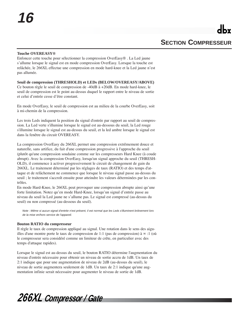### **Touche OVEREASY®**

Enfoncer cette touche pour sélectionner la compression OverEasy® . La Led jaune s'allume lorsque le signal est en mode compression OverEasy. Lorsque la touche est relâchée, le 266XL effectue une compression en mode hard-knee et la Led jaune n'est pas allumée.

**Seuil de compression (THRESHOLD) et LEDs (BELOW/OVEREASY/ABOVE)**  Ce bouton règle le seuil de compression de -40dB à +20dB. En mode hard-knee, le seuil de compression est le point au-dessus duquel le rapport entre le niveau de sortie et celui d'entrée cesse d'être constant.

En mode OverEasy, le seuil de compression est au milieu de la courbe OverEasy, soit à mi-chemin de la compression.

Les trois Leds indiquent la position du signal d'entrée par rapport au seuil de compression. La Led verte s'illumine lorsque le signal est au-dessous du seuil, la Led rouge s'illumine lorsque le signal est au-dessus du seuil, et la led ambre lorsque le signal est dans la fenêtre du circuit OVEREASY.

La compression OverEasy du 266XL permet une compression extrêmement douce et naturelle, sans artifice, du fait d'une compression progressive à l'approche du seuil (plutôt qu'une compression soudaine comme sur les compresseurs Hard Knee (à coude abrupt). Avec la compression OverEasy, lorsqu'un signal approche du seuil (THRESH-OLD), il commence à activer progressivement le circuit de changement de gain du 266XL. Le traitement déterminé par les réglages de taux (RATIO) et des temps d'attaque et de relâchement ne commence que lorsque le niveau signal passe au-dessus du seuil ; le traitement s'accroît ensuite pour atteindre les valeurs déterminées par les contrôles.

En mode Hard-Knee, le 266XL peut provoquer une compression abrupte ainsi qu'une forte limitation. Notez qu'en mode Hard-Knee, lorsqu'un signal d'entrée passe au niveau du seuil la Led jaune ne s'allume pas. Le signal est compressé (au-dessus du seuil) ou non compressé (au-dessous du seuil).

Note : Même si aucun signal d'entrée n'est présent, il est normal que les Leds s'illuminent brièvement lors de la mise en/hors service de l'appareil.

### **Bouton RATIO du compresseur**

Il règle le taux de compression appliqué au signal. Une rotation dans le sens des aiguilles d'une montre porte le taux de compression de 1:1 (pas de compression) à ∞ :1 (où le compresseur sera considéré comme un limiteur de crête, en particulier avec des temps d'attaque rapides).

Lorsque le signal est au-dessus du seuil, le bouton RATIO détermine l'augmentation du niveau d'entrée nécessaire pour obtenir un niveau de sortie accru de 1dB. Un taux de 2:1 indique que pour une augmentation de niveau de 2dB (au-dessus du seuil), le niveau de sortie augmentera seulement de 1dB. Un taux de 2:1 indique qu'une augmentation infinie serait nécessaire pour augmenter le niveau de sortie de 1dB.

*266XL Compressor / Gate*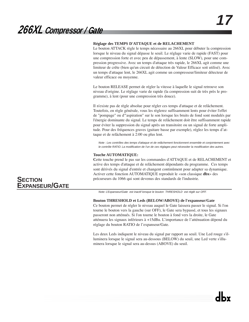### **Réglage des TEMPS D'ATTAQUE et de RELACHEMENT**

Le bouton ATTACK règle le temps nécessaire au 266XL pour débuter la compression lorsque le niveau du signal dépasse le seuil. Le réglage varie de rapide (FAST) pour une compression forte et avec peu de dépassement, à lente (SLOW), pour une compression progressive. Avec un temps d'attaque très rapide, le 266XL agit comme une limiteur de crête (bien qu'un circuit de détection de Valeur Efficace soit utilisé). Avec un temps d'attaque lent, le 266XL agit comme un compresseur/limiteur détecteur de valeur efficace ou moyenne.

Le bouton RELEASE permet de régler la vitesse à laquelle le signal retrouve son niveau d'origine. Le réglage varie de rapide (la compression suit de très près le programme), à lent (pour une compression très douce).

Il n'existe pas de règle absolue pour régler ces temps d'attaque et de relâchement. Toutefois, en règle générale, vous les règlerez suffisamment lents pour éviter l'effet de "pompage" ou d'"aspiration" sur le son lorsque les bruits de fond sont modulés par l'énergie dominante du signal. Le temps de relâchement doit être suffisamment rapide pour éviter la suppression du signal après un transitoire ou un signal de forte amplitude. Pour des fréquences graves (guitare basse par exemple), réglez les temps d'attaque et de relâchement à 2:00 ou plus lent.

Note : Les contrôles des temps d'attaque et de relâchement fonctionnent ensemble et conjointement avec le contrôle RATIO. La modification de l'un de ces réglages peut nécessiter la modification des autres.

### **Touche AUTOMATIQUE:**

**C**ette touche prend le pas sur les commandes d'ATTAQUE et de RELACHEMENT et active des temps d'attaque et de relâchement dépendants du programme. Ces temps sont dérivés du signal d'entrée et changent continûment pour adapter sa dynamique. Activer cette fonction AUTOMATIQUE reproduit le «son classique **dbx**» des précurseurs du 1066 qui sont devenus des standards de l'industrie.

Note: L'Expanseur/Gate est inactif lorsque le bouton THRESHOLD est réglé sur OFF.

### **Bouton THRESHOLD et Leds (BELOW/ABOVE) de l'expanseur/Gate**

Ce bouton permet de régler le niveau auquel le Gate laissera passer le signal. Si l'on tourne le bouton vers la gauche (sur OFF), le Gate sera bypassé, et tous les signaux passeront non atténués. Si l'on tourne le bouton à fond vers la droite, le Gate atténuera les signaux inférieurs à +15dBu. L'importance de l'atténuation dépend du réglage du bouton RATIO de l'expanseur/Gate.

Les deux Leds indiquent le niveau du signal par rapport au seuil. Une Led rouge s'illuminera lorsque le signal sera au-dessous (BELOW) du seuil, une Led verte s'illuminera lorsque le signal sera au-dessus (ABOVE) du seuil.

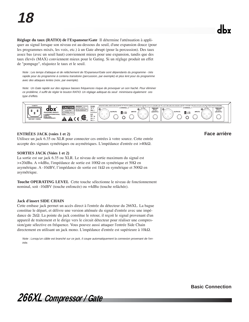**Réglage du taux (RATIO) de l'Expanseur/Gate** Il détermine l'atténuation à appliquer au signal lorsque son niveau est au-dessous du seuil, d'une expansion douce (pour les programmes mixés, les voix, etc.) à un Gate abrupt (pour la percussion). Des taux assez bas (avec un seuil haut) conviennent mieux pour une expansion, tandis que des taux élevés (MAX) conviennent mieux pour le Gating. Si un réglage produit un effet de "pompage", réajustez le taux et le seuil.

Note : Les temps d'attaque et de relâchement de l'Expanseur/Gate sont dépendants du programme - très rapide pour du programme à contenu transitoire (percussion, par exemple) et plus lent pour du programme avec des attaques lentes (voix, par exemple).

Note: Un Gate rapide sur des signaux basses fréquences risque de provoquer un son haché. Pour éliminer ce problème, il suffit de régler le bouton RATIO. Un réglage adéquat du seuil minimisera également ces type d'effets.



### **ENTRÉES JACK (voies 1 et 2)**

Utilisez un jack 6.35 ou XLR pour connecter ces entrées à votre source. Cette entrée accepte des signaux symétriques ou asymétriques. L'impédance d'entrée est >40kΩ.

### **SORTIES JACK (Voies 1 et 2)**

La sortie est sur jack 6.35 ou XLR. Le niveau de sortie maximum du signal est >+20dBu. A +4dBu, l'impédance de sortie est 100Ω en symétrique et 50Ω en asymétrique. A -10dBV, l'impédance de sortie est 1kΩ en symétrique et 500Ω en asymétrique.

**Touche OPERATING LEVEL** Cette touche sélectionne le niveau de fonctionnement nominal, soit -10dBV (touche enfoncée) ou +4dBu (touche relâchée).

### **Jack d'insert SIDE CHAIN**

Cette embase jack permet un accès direct à l'entrée du détecteur du 266XL. La bague constitue le départ, et délivre une version atténuée du signal d'entrée avec une impédance de 2kΩ. La pointe du jack constitue le retour, il reçoit le signal provenant d'un appareil de traitement et le dirige vers le circuit détecteur pour réaliser une compression/gate sélective en fréquence. Vous pouvez aussi attaquer l'entrée Side Chain directement en utilisant un jack mono. L'impédance d'entrée est supérieure à 10kΩ.

Note : Lorsqu'un câble est branché sur ce jack, il coupe automatiquement la connexion provenant de l'entrée.

### **Face arrière**

*266XL Compressor / Gate*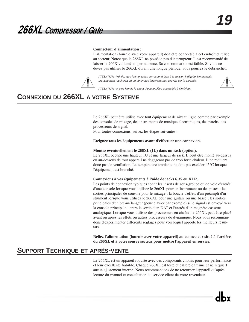### **Connecteur d'alimentation :**

L'alimentation (fournie avec votre appareil) doit être connectée à cet endroit et reliée au secteur. Notez que le 266XL ne possède pas d'interrupteur. Il est recommandé de laisser le 266XL allumé en permanence. Sa consommation est faible. Si vous ne devez pas utiliser le 266XL durant une longue période, vous pourrez le débrancher.

ATTENTION : Vérifiez que l'alimentation correspond bien à la tension indiquée. Un mauvais branchement résulterait en un dommage important non couvert par la garantie.



ATTENTION : N'otez jamais le capot. Aucune pièce accessible à l'intérieur.

## **CONNEXION DU 266XL A VOTRE SYSTEME**

Le 266XL peut être utilisé avec tout équipement de niveau ligne comme par exemple des consoles de mixage, des instruments de musique électroniques, des patchs, des processeurs de signal.

Pour toutes connexions, suivez les étapes suivantes :

#### **Eteignez tous les équipements avant d'effectuer une connexion.**

#### **Montez éventuellement le 266XL (1U) dans un rack (option).**

Le 266XL occupe une hauteur 1U et une largeur de rack. Il peut être monté au-dessus ou au-dessous de tout appareil ne dégageant pas de trop forte chaleur. Il ne requiert donc pas de ventilation. La température ambiante ne doit pas excéder 45°C lorsque l'équipement est branché.

#### **Connexions à vos équipements à l'aide de jacks 6.35 ou XLR.**

Les points de connexion typiques sont : les inserts de sous-groupe ou de voie d'entrée d'une console lorsque vous utilisez le 266XL pour un instrument ou des pistes ; les sorties principales de console pour le mixage ; la boucle d'effets d'un préampli d'instrument lorsque vous utilisez le 266XL pour une guitare ou une basse ; les sorties principales d'un pré-mélangeur (pour clavier par exemple) si le signal est envoyé vers la console principale ; entre la sortie d'un DAT et l'entrée d'un magnéto cassette analogique. Lorsque vous utilisez des processeurs en chaîne, le 266XL peut être placé avant ou après les effets ou autres processeurs de dynamique. Nous vous recommandons d'expérimenter différents réglages pour voir lequel apporte les meilleurs résultats.

**Reliez l'alimentation (fournie avec votre appareil) au connecteur situé à l'arrière du 266XL et à votre source secteur pour mettre l'appareil en service.**

### **SUPPORT TECHNIQUE ET APRÈS-VENTE**

Le 266XL est un appareil robuste avec des composants choisis pour leur performance et leur excellente fiabilité. Chaque 266XL est testé et calibré en usine et ne requiert aucun ajustement interne. Nous recommandons de ne retourner l'appareil qu'après lecture du manuel et consultation du service client de votre revendeur.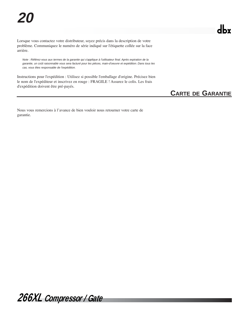Lorsque vous contactez votre distributeur, soyez précis dans la description de votre problème. Communiquez le numéro de série indiqué sur l'étiquette collée sur la face arrière.

Note : Référez-vous aux termes de la garantie qui s'applique à l'utilisateur final. Après expiration de la garantie, un coût raisonnable vous sera facturé pour les pièces, main-d'oeuvre et expédition. Dans tous les cas, vous êtes responsable de l'expédition.

Instructions pour l'expédition : Utilisez si possible l'emballage d'origine. Précisez bien le nom de l'expéditeur et inscrivez en rouge : FRAGILE ! Assurez le colis. Les frais d'expédition doivent être pré-payés.

## **CARTE DE GARANTIE**

Nous vous remercions à l'avance de bien vouloir nous retourner votre carte de garantie.

*266XL Compressor / Gate*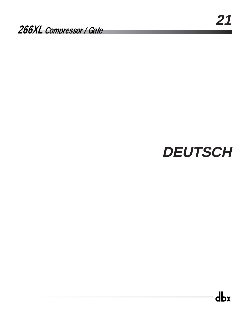# **DEUTSCH**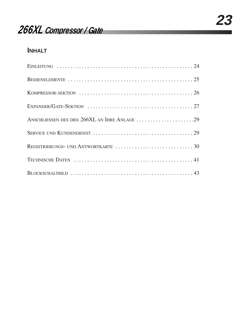## **INHALT**

| ANSCHLIESSEN DES DBX 266XL AN IHRE ANLAGE 29 |
|----------------------------------------------|
|                                              |
|                                              |
|                                              |
|                                              |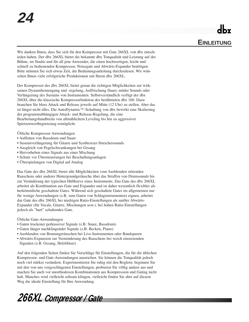Wir danken Ihnen, dass Sie sich für den Kompressor mit Gate 266XL von dbx entschieden haben. Der dbx 266XL bietet die bekannte dbx Tonqualität und Leistung auf der Bühne, im Studio und für all jene Anwender, die einen hochwertigen, leicht und schnell zu bedienenden Kompressor, Noisegate und Abwärts-Expander benötigen. Bitte nehmen Sie sich etwas Zeit, die Bedienungsanleitung durchzulesen. Wir wünschen Ihnen viele erfolgreiche Produktionen mit Ihrem dbx 266XL.

Der Kompressor des dbx 266XL bietet genau die richtigen Möglichkeiten zur wirksamen Dynamikeinengung und -regelung, Auffrischung flauer, müder Sounds oder Verlängerung des Sustains von Instrumenten. Selbstverständlich verfügt der dbx 266XL über die klassische Kompressorfunktion des berühmeten dbx 160. Dazu brauchen Sie bloss Attack und Release jeweils auf Mitte (12 Uhr) zu stellen. Aber das ist längst nicht alles. Die AutoDynamic™-Schaltung von dbx bewirkt eine Skalierung der programmabhängigen Attack- und Release-Regelung, die eine Bearbeitungsbandbreite von allmählichem Leveling bis hin zu aggressiver Spietzenwertbegrenzung ermöglicht.

Übliche Kompressor-Anwendungen

- Auffetten von Bassdrum und Snare
- Sustainverlängerung für Gitarre und Synthesizer-Streichersounds
- Ausgleich von Pegelschwankungen bei Gesang
- Hervorheben eines Signals aus einer Mischung
- Schutz vor Übersteuerungen bei Beschallungsanlagen
- Überspielungen von Digital auf Analog

Das Gate des dbx 266XL bietet alle Möglichkeiten vom Ausblenden störenden Rauschens oder anderer Hintergrundgeräusche über das Straffen von Drumsounds bis zur Veränderung der typischen Hüllkurve eines Instruments. Das Gate des dbx 266XL arbeitet als Kombination aus Gate und Expander und ist daher wesentlich flexibler als herkömmliche geschaltete Gates. Während sich geschaltete Gates im allgemeinen nur für wenige Anwendungen (z.B. zum Gaten von Schlaginstrumenten) eignen, arbeitet das Gate des dbx 266XL bei niedrigen Ratio-Einstellungen als sanfter Abwärts-Expander (für Vocals, Gitarre, Mischungen usw.), bei hohen Ratio-Einstellungen jedoch als "hart" schaltendes Gate.

Übliche Gate-Anwendungen

- Gaten trockener perkussiver Signale (z.B. Snare, Bassdrum)
- Gaten länger nachklingender Signale (z.B. Becken, Piano)
- Ausblenden von Brummgeräuschen bei Live-Instrumenten oder Bandspuren
- Abwärts-Expansion zur Verminderung des Rauschens bei weich einsetzenden Signalen (z.B. Gesang, Holzbläser)

Auf den folgenden Seiten finden Sie Vorschläge für Einstellungen, die für die üblichen Kompressor- und Gate-Anwendungen ausreichen. Sie können die Tonqualität jedoch noch viel stärker verändern. Experimentieren Sie ruhig mit den Reglern; beginnen Sie mit den von uns vorgeschlagenen Einstellungen, probieren Sie völlig andere aus und machen Sie auch vor unorthodoxen Kombinationen aus Kompression und Gating nicht halt. Manches wird vielleicht seltsam klingen, vielleicht finden Sie aber auf diesem Weg die ideale Einstellung für Ihre Anwendung.

*266XL Compressor / Gate*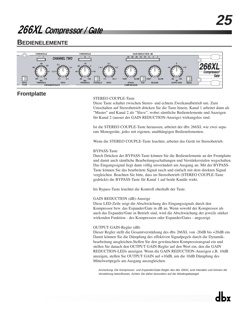### **BEDIENELEMENTE**



### **Frontplatte**

### STEREO COUPLE-Taste

Diese Taste schaltet zwischen Stereo- und echtem Zweikanalbetrieb um. Zum Umschalten auf Stereobetrieb drücken Sie die Taste hinein. Kanal 1 arbeitet dann als "Master" und Kanal 2 als "Slave", wobei sämtliche Bedienelemente und Anzeigen für Kanal 2 (ausser der GAIN REDUCTION-Anzeige) wirkungslos sind.

Ist die STEREO COUPLE-Taste heraussen, arbeitet der dbx 266XL wie zwei separate Monogeräte, jedes mit eigenen, unabhängigen Bedienelementen.

Wenn die STEREO COUPLE-Taste leuchtet, arbeitet das Gerät im Stereobetrieb.

### BYPASS-Taste

Durch Drücken der BYPASS-Taste können Sie die Bedienelemente an der Frontplatte und damit auch sämtliche Bearbeitungsschaltungen und Verstärkerstufen wegschalten. Das Eingangssignal liegt dann völlig unverändert am Ausgang an. Mit der BYPASS-Taste können Sie das bearbeitete Signal rasch und einfach mit dem direkten Signal vergleichen. Beachten Sie bitte, dass im Stereobetrieb (STEREO COUPLE-Taste gedrückt) die BYPASS-Taste für Kanal 1 auf beide Kanäle wirkt.

Im Bypass-Taste leuchtet die Kontroll oberhalb der Taste.

### GAIN REDUCTION (dB)-Anzeige

Diese LED-Zeile zeigt die Abschwächung des Eingangssignals durch den Kompressor bzw. das Expander/Gate in dB an. Wenn sowohl der Kompressor als auch das Expander/Gate in Betrieb sind, wird die Abschwächung der jeweils stärker wirkenden Funktion - des Kompressors oder Expander/Gates - angezeigt.

### OUTPUT GAIN-Regler (dB)

Dieser Regler stellt die Gesamtverstärkung des dbx 266XL von -20dB bis +20dB ein. Damit können Sie die Dämpfung des effektiven Signalpegels durch die Dynamikbearbeitung ausgleichen.Stellen Sie den gewünschten Kompressionsgrad ein und stellen Sie danach den OUTPUT GAIN-Regler auf den Wert ein, den die GAIN REDUCTION-LEDs anzeigen. Wenn die GAIN REDUCTION-Anzeigen z.B. 10dB anzeigen, stellen Sie OUTPUT GAIN auf +10dB, um die 10dB Dämpfung des Mittelwertpegels am Ausgang auszugleichen.

Anmerkung: Die Kompressor- und Expander/Gate-Regler des dbx 266XL sind interaktiv und können die Verstärkung beeinflussen. Achten Sie daher besonders auf die Wiedergabepegel.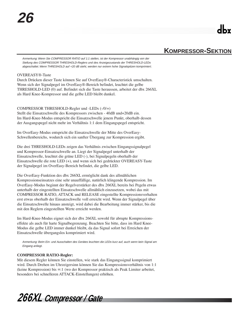## **KOMPRESSOR-SEKTION**

Anmerkung: Wenn Sie COMPRESSOR RATIO auf 1:1 stellen, ist der Kompressor unabhängig von der Stellung des COMPRESSOR THRESHOLD-Reglers und des Anzeigezustands der THRESHOLD-LEDs abgeschaltet. Wenn THRESHOLD auf +20 dB steht, werden nur extrem hohe Signalspitzen komprimiert.

### OVEREASY®-Taste

Durch Drücken dieser Taste können Sie auf OverEasy®-Characteristick umschalten. Wenn sich der Signalpegel im OverEasy®-Bereich befindet, leuchtet die gelbe THRESHOLD-LED (0) auf. Befindet sich die Taste heraussen, arbeitet der dbx 266XL als Hard Knee-Kompressor und die gelbe LED bleibt dunkel.

COMPRESSOR THRESHOLD-Regler und -LEDs (-/0/+)

Stellt die Einsatzschwelle des Kompressors zwischen - 40dB und+20dB ein. Im Hard-Knee-Modus entspricht die Einsatzschwelle jenem Punkt, oberhalb dessen der Ausgangspegel nicht mehr im Verhältnis 1:1 dem Eingangspegel entspricht.

Im OverEasy-Modus entspricht die Einsatzschwelle der Mitte des OverEasy-Schwellenbereichs, wodurch sich ein sanfter Übergang zur Kompression ergibt.

Die drei THRESHOLD-LEDs zeigen das Verhältnis zwischen Eingangssignalpegel und Kompressor-Einsatzschwelle an. Liegt der Signalpegel unterhalb der Einsatzschwelle, leuchtet die grüne LED (-), bei Signalpegeln oberhalb der Einsatzschwelle die rote LED (+), und wenn sich bei gedrückter OVEREASY-Taste der Signalpegel im OverEasy-Bereich befindet, die gelbe LED.

Die OverEasy-Funktion des dbx 266XL ermöglicht dank des allmählichen Kompressionseinsatzes eine sehr unauffällige, natürlich klingende Kompression. Im OverEasy-Modus beginnt der Regelverstärker des dbx 266XL bereits bei Pegeln etwas unterhalb der eingestellten Einsatzschwelle allmählich einzusetzen, wobei das mit COMPRESSOR RATIO, ATTACK und RELEASE eingestellte Kompressionsverhalten erst etwas oberhalb der Einsatzschwelle voll erreicht wird. Wenn der Signalpegel über die Einsatzschwelle hinaus ansteigt, wird dabei die Bearbeitung immer stärker, bis die mit den Reglern eingestellten Werte erreicht werden.

Im Hard-Knee-Modus eignet sich der dbx 266XL sowohl für abrupte Kompressionseffekte als auch für harte Signalbegrenzung. Beachten Sie bitte, dass im Hard Knee-Modus die gelbe LED immer dunkel bleibt, da das Signal sofort bei Erreichen der Einsatzschwelle übergangslos komprimiert wird.

Anmerkung: Beim Ein- und Ausschalten des Gerätes leuchten die LEDs kurz auf, auch wenn kein Signal am Eingang anliegt.

### **COMPRESSOR RATIO-Regler:**

Mit diesem Regler können Sie einstellen, wie stark das Eingangssignal komprimiert wird. Durch Drehen im Uhrzeigersinn können Sie das Kompressionsverhältnis von 1:1 (keine Kompression) bis ∞:1 (wo der Kompressor praktisch als Peak Limiter arbeitet, besonders bei schnelleren ATTACK-Einstellungen) erhöhen.

*266XL Compressor / Gate*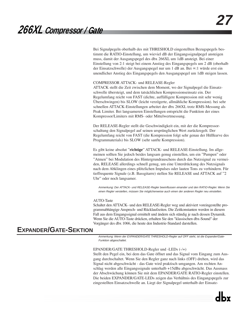Bei Signalpegeln oberhalb des mit THRESHOLD eingestellten Bezugspegels bestimmt die RATIO-Einstellung, um wieviel dB der Eingangssignalpegel ansteigen muss, damit der Ausgangspegel des dbx 266XL um 1dB ansteigt. Bei einer Einstellung von 2:1 steigt bei einem Anstieg des Eingangspegels um 2 dB (oberhalb der Einsatzschwelle) der Ausgangspegel nur um 1 dB an. Bei ∞:1 würde erst ein unendlicher Anstieg des Eingangspegels den Ausgangspegel um 1dB steigen lassen.

### COMPRESSOR ATTACK- und RELEASE-Regler

ATTACK stellt die Zeit zwischen dem Moment, wo der Signalpegel die Einsatzschwelle übersteigt, und dem tatsächlichen Kompressionseinsatz ein. Der Regelumfang reicht von FAST (dichte, auffälligere Kompression mit sehr wenig Überschwingen) bis SLOW (leicht verzögerte, allmähliche Kompression). bei sehr schnellen ATTACK-Einstellungen arbeitet der dbx 266XL trotz RMS-Messung als Peak Limiter. Bei langsameren Einstellungen entspricht die Funktion der eines Kompressor/Limiters mit RMS- oder Mittelwertmessung.

Der RELEASE-Regler stellt die Geschwindigkeit ein, mit der die Kompressorschaltung den Signalpegel auf seinen ursprünglichen Wert zurückregelt. Der Regelumfang reicht von FAST (die Kompression folgt sehr genau der Hüllkurve des Programmaterials) bis SLOW (sehr sanfte Kompression).

Es gibt keine absolut "**richtige**" ATTACK- und RELEASE-Einstellung. Im allgemeinen sollten Sie jedoch beides langsam genug einstellen, um ein "Pumpen" oder "Atmen" bei Modulation des Hintergrundrauschens durch das Nutzsignal zu vermeiden, RELEASE allerdings schnell genug, um eine Unterdrückung des Nutzsignals nach dem Abklingen eines plötzlichen Impulses oder lauten Tons zu verhindern. Für tieffrequente Signale (z.B. Bassgitarre) stellen Sie RELEASE und ATTACK auf "2 Uhr" oder noch langsamer.

Anmerkung: Der ATTACK- und RELEASE-Regler beeinflussen einander und den RATIO-Regler. Wenn Sie einen Regler verstellen, müssen Sie möglicherweise auch einen der anderen Regler neu einstellen.

### AUTO-Taste

Schaltet den ATTACK- und den RELEASE-Regler weg und aktiviert voreingestellte programmabhängige Ansprech- und Rücklaufzeiten. Die Zeitkonstanten werden in diesem Fall aus dem Eingangssignal ermittelt und ändern sich ständig je nach dessen Dynamik. Wenn Sie die AUTO-Taste drücken, erhalten Sie den "klassischen dbx-Sound" der Vorgänger des dbx 1066, die heute den Industrie-Standard darstellen.

## **EXPANDER/GATE-SEKTION**

Anmerkung: Wenn der EXPANDER/GATE THRESHOLD-Regler auf OFF steht, ist die Expander/Gate-Funktion abgeschaltet.

### EPANDER/GATE THRESHOLD-Regler und -LEDs (-/+)

Stellt den Pegel ein, bei dem das Gate öffnet und das Signal vom Eingang zum Ausgang durchschaltet. Wenn Sie den Regler ganz nach links (OFF) drehen, wird das Signal nicht abgeschwächt - das Gate wird praktisch umgangen. Am rechten Anschlag werden alle Eingangssignale unterhalb +15dBu abgeschwächt. Das Ausmass der Abschwächung können Sie mit dem EPANDER/GATE RATIO-Regler einstellen. Die beiden EXPANDER/GATE-LEDs zeigen das Verhältnis des Eingangspegels zur eingestellten Einsatzschwelle an. Liegt der Signalpegel unterhalb der Einsatz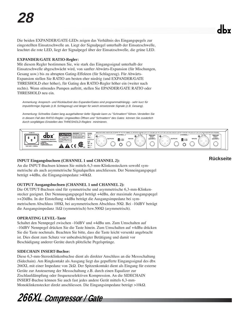Die beiden EXPANDER/GATE-LEDs zeigen das Verhältnis des Eingangspegels zur eingestellten Einsatzschwelle an. Liegt der Signalpegel unterhalb der Einsatzschwelle, leuchtet die rote LED, liegt der Signalpegel über der Einsatzschwelle, die grüne LED.

### **EXPANDER/GATE RATIO-Regler:**

Mit diesem Regler bestimmen Sie, wie stark das Eingangssignal unterhalb der Einsatzschwelle abgeschwächt wird, von sanfter Abwärts-Expansion (für Mischungen, Gesang usw.) bis zu abrupten Gating-Effekten (für Schlagzeug). Für Abwärts-Expansion stellen Sie RATIO am besten eher niedrig (und EXPANDER/GATE THRESHOLD eher höher), für Gating den RATIO-Regler höher ein (weiter nach rechts). Wenn störendes Pumpen auftritt, stellen Sie EPANDER/GATE RATIO oder THRESHOLD neu ein.

Anmerkung: Ansprech- und Rücklaufzeit des Expander/Gates sind programmabhängig - sehr kurz für impulsförmige Signale (z.B. Schlagzeug) und länger für weich einsetzende Signale (z.B. Gesang).

Anmerkung: Schnelles Gaten lang ausgehaltener tiefer Signale kann zu "Schnattern" führen. Verstellen Sie in diesem Fall den RATIO-Regler. Ungewolltes Öffnen und "Schnattern" des Gates können Sie zusätzlich durch sorgfältiges Einstellen des THRESHOLD-Reglers minimieren.



### **INPUT Eingangsbuchsen (CHANNEL 1 und CHANNEL 2):**

An die INPUT-Buchsen können Sie mittels 6,3-mm-Klinkensteckern sowohl symmetrische als auch asymmetrische Signalquellen anschliessen. Der Nenneingangspegel beträgt +4dBu, die Eingangsimpedanz >40kΩ.

### **OUTPUT Ausgangsbuchsen (CHANNEL 1 und CHANNEL 2):**

Die OUTPUT-Buchsen sind für symmetrische und asymmetrische 6,3-mm-Klinkenstecker geeignet. Der Nennausgangspegel beträgt +4dBu, der maximale Ausgangspegel >+20dBu. In der Einstellung +4dBu beträgt die Ausgangsimpedanz bei symmetrischem Abschluss 100Ω, bei asymmetrischem Abschluss 50Ω. Bei -10dBV beträgt die Ausgangsimpedanz 1kΩ (symmetrisch) bzw.500Ω (asymmetrisch).

### **OPERATING LEVEL-Taste**

Schaltet den Nennpegel zwischen -10dBV und +4dBu um. Zum Umschalten auf -10dBV Nennpegel drücken Sie die Taste hinein. Zum Umschalten auf +4dBu drücken Sie die Taste nochmals. Beachten Sie bitte, dass die Taste leicht versenkt angebracht ist. Dies dient zum Schutz vor unbeabsichtigter Betätigung und damit vor Beschädigung anderer Geräte durch plötzliche Pegelsprünge.

### **SIDECHAIN INSERT-Buchse:**

Diese 6,3-mm-Stereoklinkenbuchse dient als direkter Anschluss an die Messschaltung (Sidechain). Am Ringkontakt als Ausgang liegt das gepufferte Eingangssignal des dbx 266XL mit einer Impedanz von 2kΩ. Der Spitzenkontakt dient als Eingang für externe Geräte zur Ansteuerung der Messschaltung z.B. durch einen Equalizer zur Zischlaufdämpfung oder frequenzselektiven Kompression. An die SIDECHAIN INSERT-Buchse können Sie auch fast jedes andere Gerät mittels 6,3-mm-Monoklinkenstecker direkt anschliessen. Die Eingangsimpedanz beträgt >10kΩ.

*266XL Compressor / Gate*

### **Rückseite**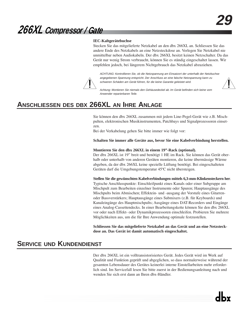### **IEC-Kaltgerätebuchse**

Stecken Sie das mitgelieferte Netzkabel an den dbx 266XL an. Schliessen Sie das andere Ende des Netzkabels an eine Netzsteckdose an. Verlegen Sie Netzkabel nie unmittelbar neben Audiokabeln. Der dbx 266XL besitzt keinen Netzschalter. Da das Gerät nur wenig Strom verbraucht, können Sie es ständig eingeschaltet lassen. Wir empfehlen jedoch, bei längerem Nichtgebrauch das Netzkabel abzuziehen.

ACHTUNG: Kontrollieren Sie, ob die Netzspannung am Einsatzort der unterhalb der Netzbuchse angegebenen Spannung entspricht. Der Anschluss an eine falsche Netzspannung kann zu schweren Schäden am Gerät führen, für die keine Garantie geleistet wird.



Achtung: Montieren Sie niemals den Gehäusedeckel ab. Im Gerät befinden sich keine vom Anwender reparierbaren Teile.

## **ANSCHLIESSEN DES DBX 266XL AN IHRE ANLAGE**

Sie können den dbx 266XL zusammen mit jedem Line-Pegel-Gerät wie z.B. Mischpulten, elektronischen Musikinstrumenten, Patchbays und Signalprozessoren einsetzen.

Bei der Verkabelung gehen Sie bitte immer wie folgt vor:

**Schalten Sie immer alle Geräte aus, bevor Sie eine Kabelverbindung herstellen.**

### **Montieren Sie den dbx 266XL in einem 19"-Rack (optional).**

Der dbx 266XL ist 19" breit und benötigt 1 HE im Rack. Sie können das Gerät oberhalb oder unterhalb von anderen Geräten montieren, die keine übermässige Wärme abgeben, da der dbx 266XL keine spezielle Lüftung benötigt. Bei eingeschalteten Geräten darf die Umgebungstemperatur 45ºC nicht übersteigen.

**Stellen Sie die gewünschten Kabelverbindungen mittels 6,3-mm-Klinkensteckern her**.

Typische Anschlusspunkte: Einschleifpunkt eines Kanals oder einer Subgruppe am Mischpult zum Bearbeiten einzelner Instrumente oder Spuren; Hauptausgänge des Mischpults beim Abmischen; Effektein- und -ausgang der Vorstufe eines Gitarrenoder Bassverstärkers; Hauptausgänge eines Submixers (z.B. für Keyboards) und Kanaleingänge des Hauptmischpults; Ausgänge eines DAT-Recorders und Eingänge eines Analog-Cassettendecks. In einer Bearbeitungskette können Sie den dbx 266XL vor oder nach Effekt- oder Dynamikprozessoren einschleifen. Probieren Sie mehrere Möglichkeiten aus, um die für Ihre Anwendung optimale festzustellen.

**Schliessen Sie das mitgelieferte Netzkabel an das Gerät und an eine Netzsteckdose an. Das Gerät ist damit automatisch eingeschaltet.**

### **SERVICE UND KUNDENDIENST**

Der dbx 266XL ist ein volltransistorisiertes Gerät. Jedes Gerät wird im Werk auf Qualität und Funktion geprüft und abgeglichen, so dass normalerweise während der gesamten Lebensdauer des Gerätes keinerlei interne Einstellarbeiten mehr erforderlich sind. Im Servicefall lesen Sie bitte zuerst in der Bedienungsanleitung nach und wenden Sie sich erst dann an Ihren dbx-Händler.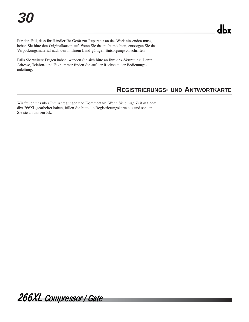Für den Fall, dass Ihr Händler Ihr Gerät zur Reparatur an das Werk einsenden muss, heben Sie bitte den Originalkarton auf. Wenn Sie das nicht möchten, entsorgen Sie das Verpackungsmaterial nach den in Ihrem Land gültigen Entsorgungsvorschriften.

Falls Sie weitere Fragen haben, wenden Sie sich bitte an Ihre dbx-Vertretung. Deren Adresse, Telefon- und Faxnummer finden Sie auf der Rückseite der Bedienungsanleitung.

## **REGISTRIERUNGS- UND ANTWORTKARTE**

Wir freuen uns über Ihre Anregungen und Kommentare. Wenn Sie einige Zeit mit dem dbx 266XL gearbeitet haben, füllen Sie bitte die Registrierungskarte aus und senden Sie sie an uns zurück.

*266XL Compressor / Gate*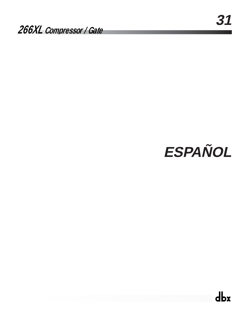# **ESPAÑOL**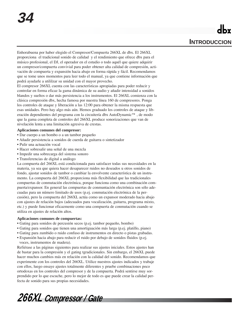Enhorabuena por haber elegido el Compresor/Compuerta 266XL de dbx. El 266XL proporciona el tradicional sonido de calidad y el rendimiento que ofrece dbx para el músico profesional, el DJ, el operador en el estudio o todo aquél que quiere adquirir un compresor/compuerta convivial para poder obtener alta calidad de compresión, activación de compuerta y expansión hacia abajo en forma rápida y fácil. Recomendamos que se tome unos momentos para leer todo el manual, ya que contiene información que podrá ayudarle a utililzar su unidad con el mayor provecho.

El compresor 266XL cuenta con las características apropiadas para poder reducir y controlar en forma eficaz la gama dinámica de su audio y añadir intensidad a sonidos blandos y sueltos o dar más persistencia a los instrumentos. El 266XL comienza con la clásica compresión dbx, hecha famosa por nuestra línea 160 de compresores. Ponga los controles de ataque y liberación a las 12:00 para obtener la misma respuesta que esas unidades. Pero hay algo más aún. Hemos graduado los controles de ataque y liberación dependientes del programa con la circuitería dbx AutoDynamic™ , de modo que la gama completa de controles del 266XL produce sonorizaciones que van de nivelación lenta a una limitación agresiva de crestas.

### **Aplicaciones comunes del compresor:**

- Dar cuerpo a un bombo o a un tambor pequeño
- Añadir persistencia a sonidos de cuerda de guitarra o sintetizador
- Pulir una actuación vocal
- Hacer sobresalir una señal de una mezcla
- Impedir una sobrecarga del sistema sonoro
- Transferencias de digital a análogo

La compuerta del 266XL está condicionada para satisfacer todas sus necesidades en la materia, ya sea que quiera hacer desaparecer ruidos no deseados u otros sonidos de fondo, ajustar sonidos de tambor o cambiar la envolvente característica de un instrumento. La compuerta del 266XL proporciona más flexibilidad que las tradicionales compuertas de conmutación electrónica, porque funciona como una combinación compuerta/expansor. En general las compuertas de conmuntación electrónica son sólo adecuadas para un número limitado de usos (p.ej. conmutación electrónica de la percusión), pero la compuerta del 266XL actúa como un expansor moderado hacia abajo con ajustes de relación bajos (adecuados para vocalización, guitarra, programa mixto, etc.) y puede funcionar eficazmente como una compuerta de conmutación cuando se utiliza en ajustes de relación altos.

#### **Aplicaciones comunes de compuertas:**

- Gating para sonidos de percusión secos (p.ej. tambor pequeño, bombo)
- Gating para sonidos que tienen una amortiguación más larga (p.ej. platillo, piano)
- Gating para zumbido o ruido confuso de instrumentos en directo o pistas grabadas. • Expansión hacia abajo para reducir el ruido por debajo de sonidos fluidos (p.ej.
- voces, instrumentos de madera).

Refiérase a las páginas siguientes para realizar sus ajustes iniciales. Estos ajustes han de bastar para la compresión y el gating tgradicionales. Sin embargo, el 266XL puede hacer muchos cambios más en relación con la calidad del sonido. Recomendamos que experimente con los controles del 266XL. Utilice nuestros ajustes indicados y trabaje con ellos, luego ensaye ajustes totalmente diferentes y pruebe combinaciones poco ortodoxas en los controles del compresor y de la compuerta. Podrá sentirse muy sorprendido por lo que escuche, pero lo mejor de todo es que puede crear la calidad perfecta de sonido para sus propias necesidades.

*266XL Compressor / Gate*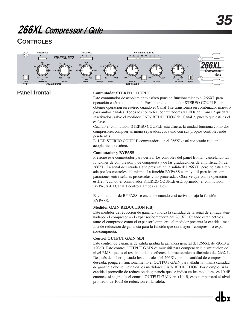## **CONTROLES**



### **Panel frontal**

### **Conmutador STEREO COUPLE**

Este conmutador de acoplamiento eséreo pone en funcionamiento el 266XL para operación estéreo o mono dual. Presionar el conmutador STEREO COUPLE para obtener operación en estéreo cuando el Canal 1 se transforma en combinador maestro para ambos canales. Todos los controles, conmutadores y LEDs del Canal 2 quedarán inactivados (salvo el medidor GAIN REDUCTION del Canal 2, puesto que éste es el esclavo.

Cuando el conmutador STEREO COUPLE está afuera, la unidad funciona como dos compresores/compuertas mono separados, cada uno con sus propios controles independientes.

El LED STEREO COUPLE conmutador que el 266XL está conectado rojo en acoplamiento estéreo.

### **Conmutador y BYPASS**

Presione este conmutador para derivar los controles del panel frontal, cancelando las funciones de compresión y de compuerta y de las graduaciones de amplificación del 266XL. La señal de entrada sigue presente en la salida del 266XL, pero no está alterada por los controles del mismo. La función BYPASS es muy útil para hacer comparaciones entre señales procesadas y no procesadas. Observe que con la operación estéreo (cuando el conmutador STEREO COUPLE está oprimido) el conmutador BYPASS del Canal 1 controla ambos canales.

El conmutador de BYPASS se enciende cuando está activada rojo la función BYPASS.

### **Medidor GAIN REDUCTION (dB)**

Este medidor de reducción de ganancia indica la cantidad de la señal de entrada atenuadapor el compresor o el expansor/compuerta del 266XL. Cuando están activos tanto el compresor como el expansor/compuerta el medidor presenta la cantidad máxima de reducción de ganancia para la función que sea mayor - compresor o expansor/compuerta.

### **Control OUTPUT GAIN (dB)**

Este control de ganancia de salida gradúa la ganancia general del 266XL de -20dB a +20dB. Este control OUTPUT GAIN es muy útil para compensar la disminución de nivel RMS, que es el resultado de los efectos de procesamiento dinámico del 266XL. Después de haber ajustado los controles del 266XL para la cantidad de compresión deseada, ponga en funcionamiento el OUTPUT GAIN para añadir la misma cantidad de ganancia que se indica en los medidores GAIN REDUCTION. Por ejemplo, si la cantidad promedio de reducción de ganancia que se indica en los medidores es 10 dB, entonces si se gradúa el control OUTPUT GAIN en +10dB, esto compensará el nivel promedio de 10dB de reducción en la salida.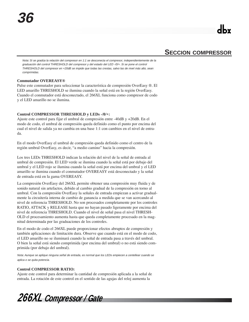### **SECCION COMPRESSOR**

Nota: Si se gradúa la relación del compresor en 1:1 se desconecta el compresor, independientemente de la graduación del control THRESHOLD del compresor y del estado del LED -/0/+. Si se pone el control THRESHOLD del compresor en +20dB se impide que todas las crestas, salvo las de nivel más alto, sean comprimidas.

### **Conmutador OVEREASY®**

Pulse este conmutador para seleccionar la característica de compresión OverEasy ®. El LED amarillo THRESHOLD se ilumina cuando la señal está en la región OverEasy. Cuando el conmutador está desconectado, el 266XL funciona como compresor de codo y el LED amarillo no se ilumina.

### **Control COMPRESSOR THRESHOLD y LEDs -/0/+:**

Ajuste este control para fijar el umbral de compresión entre -40dB y +20dB. En el modo de codo, el umbral de compresión queda definido como el punto por encima del cual el nivel de salida ya no cambia en una base 1:1 con cambios en el nivel de entrada.

En el modo OverEasy el umbral de compresión queda definido como el centro de la región umbral OverEasy, es decir, "a medio camino" hacia la compresión.

Los tres LEDs THRESHOLD indican la relación del nivel de la señal de entrada al umbral de compresión. El LED verde se ilumina cuando la señal está por debajo del umbral y el LED rojo se ilumina cuando la señal está por encima del umbral y el LED amarillo se ilumina cuando el conmutador OVEREASY está desconectado y la señal de entrada está en la gama OVEREASY.

La compresión OverEasy del 266XL permite obtener una compresión muy fluida y de sonido natural sin artefactos, debido al cambio gradual de la compresión en torno al umbral. Con la compresión OverEasy la señales de entrada empiezan a activar gradualmente la circuitería interna de cambio de ganancia a medida que se van acercando al nivel de referencia THRESHOLD. No son procesados completamente por los controles RATIO, ATTACK y RELEASE hasta que no hayan pasado ligeramente por encima del nivel de referencia THRESHOLD. Cuando el nivel de señal pasa el nivel THRESH-OLD el procesamiento aumenta hasta que queda completamente procesado en la magnitud determinada por las graduaciones de los controles.

En el modo de codo el 266XL puede proporcionar efectos abruptos de compresión y también aplicaciones de limitación dura. Observe que cuando está en el modo de codo, el LED amarillo no se iluminará cuando la señal de entrada pasa a través del umbral. O bien la señal está siendo comprimida (por encima del umbral) o no está siendo comprimida (por debajo del umbral).

Nota: Aunque se aplique ninguna señal de entrada, es normal que los LEDs empiecen a centellear cuando se aplica o se quita potencia.

### **Control COMPRESSOR RATIO:**

Ajuste este control para determinar la cantidad de compresión aplicada a la señal de entrada. La rotación de este control en el sentido de las agujas del reloj aumenta la

*266XL Compressor / Gate*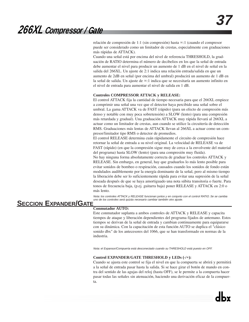relación de compresión de 1:1 (sin compresión) hasta ∞:1 (cuando el compresor puede ser considerado como un limitador de crestas, especialmente con graduaciones más rápidas de ATTACK).

Cuando una señal está por encima del nivel de referencia THRESHOLD, la graduación de RATIO determina el número de decibelios en los que la señal de entrada debe aumentar el nivel para producir un aumento de 1 dB en el nivel de señal en la salida del 266XL. Un ajuste de 2:1 indica una relación entrada/salida en que un aumento de 2dB en señal (por encima del umbral) producirá un aumento de 1 dB en la señal de salida. Un ajuste de ∞:1 indica que se necesitaría un aumento infinito en el nivel de entrada para aumentar el nivel de salida en 1 dB.

### **Controles COMPRESSOR ATTACK y RELEASE:**

El control ATTACK fija la cantidad de tiempo necesaria para que el 266XL empiece a comprimir una señal una vez que el detector haya percibido una señal sobre el umbral. La gama ATTACK va de FAST (rápido) (para un efecto de compresión más denso y notable con muy poca sobretensión) a SLOW (lento) (para una compresión más retardada y gradual). Una graduación ATTACK muy rápida llevará al 266XL a actuar como un limitador de crestas, aun cuando se utilice la circuitería de detección RMS. Graduaciones más lentas de ATTACK llevan al 266XL a actuar como un compresor/limitador tipo RMS o detector de promedios.

El control RELEASE determina cuán rápidamente el circuito de compresión hace retornar la señal de entrada a su nivel original. La velocidad de RELEASE va de FAST (rápido) (en que la compresión sigue muy de cerca a la envolvente del material del programa) hasta SLOW (lento) (para una compresión muy fluida).

No hay ninguna forma absolutamente correcta de graduar los controles ATTACK y RELEASE. Sin embargo, en general, hay que graduarlos lo más lento posible para evitar sonidos de bombeo o respiración, causados cuando los sonidos de fondo están modulados audiblemente por la energía dominante de la señal, pero al mismo tiempo la liberación debe ser lo suficientemente rápida para evitar una supresión de la señal deseada después de que se haya amortiguado una nota súbita transitoria o fuerte. Para tonos de frecuencia baja, (p.ej. guitarra baja) poner RELEASE y ATTACK en 2:0 o más lento.

Nota: los controles ATTACK y RELEASE funcionan juntos y en conjunto con el control RATIO. Se se cambia uno de los controles será quizás necesario cambiar también otro ajuste.

### **SECCION EXPANDER/GATE**

### **Conmutador AUTO:**

Este conmutador suplanta a ambos controles de ATTACK y RELEASE y capacita tiempos de ataque y liberación dependientes del programa fijados de antemano. Estos tiempos se derivan de la señal de entrada y cambian continuamente para equipararse con su dinámica. Con la capacitación de esta función AUTO se duplica el "clásico sonido dbx" de los antecesores del 1066, que se han transformado en normas de la industria.

Nota: el Expansor/Compuerta está desconectado cuando su THRESHOLD está puesto en OFF.

### **Control EXPANDER/GATE THRESHOLD y LEDs (-/+):**

Cuando se ajusta este control se fija el nivel en que la compuerta se abrirá y permitirá a la señal de entrada pasar hasta la salida. Si se hace girar el botón de mando en contra del sentido de las agujas del reloj (hasta OFF), se le permite a la compuerta hacer pasar todas las señales sin atenuación, haciendo una derivación eficaz de la compuerta. Si se hace girar el botón de mando en el sentido de mando en el sentido de las agujas de las agujas de la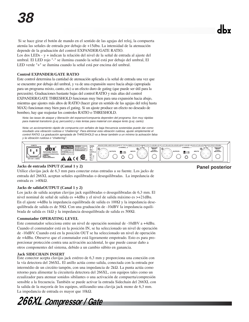Si se hace girar el botón de mando en el sentido de las agujas del reloj, la compuerta atenúa las señales de entrada por debajo de +15dbu. La intensidad de la atenuación depende de la graduación del control EXPANDER/GATE RATIO. Los dos LEDs - y + indican la relación del nivel de la señal de entrada al ajuste del

umbral. El LED rojo "-" se ilumina cuando la señal está por debajo del umbral, El LED verde "+" se ilumina cuando la señal está por encima del umbral.

### **Control EXPANDER/GATE RATIO**

Este control determina la cantidad de atenuación aplicada a la señal de entrada una vez que se encuentre por debajo del umbral, y va de una expansión suave hacia abajo (apropiada para un programa mixto, canto, etc) a un efecto duro de gating (que puede ser útil para la percusión). Graduaciones bastante bajas del control RATIO y más altas del control EXPANDER/GATE THRESHOLD funcionan muy bien para una expansión hacia abajo, mientras que ajustes más altos de RATIO (hacer girar en sentido de las agujas del reloj hasta MAX) funcionan muy bien para el gating. Si un ajuste produce un efecto no deseado de bombeo, hay que reajustar los controles RATIO o THRESHOLD.

Nota: las tasas de ataque y liberación del expansor/compuerta dependen del programa. Son muy rápidas para material transitorio (p.ej. percusión) y más lentas para material con ataque lento (p.ej. canto).

Nota: un accionamiento rápido de compuerta con señales de baja frecuencia sostenidas puede dar como resultado una vibración ruidosa o "chattering". Para eliminar esta vibración ruidosa, ajuste simplemente el control RATIO. La graduación apropiada de THRESHOLD va a llevar también a un mínimo la activación falsa y la vibración ruidosa o "chattering".



### **Jacks de entrada INPUT (Canal 1 y 2)**

Utilice clavijas jack de 6,3 mm para conectar estas entradas a su fuente. Los jacks de entrada del 266XL aceptan señales equilibradas o desequilibradas. La impedancia de entrada es >40kΩ.

### **Jacks de salidaOUTPUT (Canal 1 y 2)**

Los jacks de salida aceptan clavijas jack equilibradas o desequilibradas de 6,3 mm. El nivel nominal de señal de salida es +4dBu y el nivel de salida máximo es >+21dBu. En el ajuste +4dBu la impedancia equilibrada de salida es 100Ω y la impedancia desequilibrada de salida es de 50Ω. Con una graduación de -10dBV la impedancia equilibrada de salida es 1kΩ y la impedancia desequilibrada de salida es 500Ω.

### **Conmutador OPERATING LEVEL**

Este conmutador selecciona entre un nivel de operación nominal de -10dBV a +4dBu. Cuando el conmutador está en la posición IN, se ha seleccionado un nivel de operación de -10dBV. Cuando está en la posición OUT se ha seleccionado un nivel de operación de +4dBu. Obeserve que el conmutador está ligeramente empotrado. Esto es para proporcionar protección contra una activación accidental, lo que puede causar daño a otros componentes del sistema, debido a un cambio súbito en ganancia.

### **Jack SIDECHAIN INSERT**

Este conector acepta clavijas jack estéreo de 6,3 mm y proporciona una conexión con la vía detectora del 266XL. El anillo actúa como salida, conectada con la entrada por intermédio de un circúito tampón, con una impedancia de 2kΩ. La punta actúa como retorno para alimentar la circuitería detectora del 266XL, con equipos tales como un ecualizador para atenuar sonidos sibilantes o una activación de compuerta/compresión sensible a la frecuencia. También se puede activar la entrada Sidechain del 266XL con la salida de la mayoría de los equipos, utilizandio una clavija jack mono de 6,3 mm. La impedancia de entrada es mayor que 10kΩ.

*266XL Compressor / Gate*

### **Panel posterior**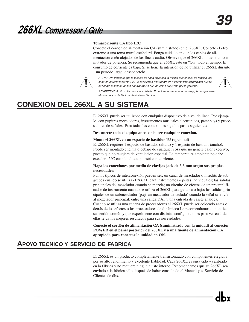### **Tomacorriente CA tipo IEC**

Conecte el cordón de alimentación CA (suministrado) en el 266XL. Conecte el otro extremo a una toma mural estándard. Ponga cuidado en que los cables de alimentación estén alejados de las líneas audio. Observe que el 266XL no tiene un conmutador de potencia. Se recomienda que el 266XL esté en "On" todo el tiempo. El consumo de corriente es bajo. Si se tiene la intensión de no utilizar el 266XL durante un período largo, desconéctelo.



ATENCION: Verifique que la tensión de línea suya sea la misma que el nivel de tensión indicado en el tomacorriente CA. La conexión a una fuente de alimentación inapropiada puede dar como resultado daños considerables que no están cubiertos por la garantía.



ADVERTENCIA: No quite nunca la cubierta. En el interior del aparato no hay piezas que para el usuario son de fácil mantenimiento técnico.

## **CONEXION DEL 266XL A SU SISTEMA**

El 266XL puede ser utilizado con cualquier dispositivo de nivel de línea. Por ejemplo, con pupitres mezcladores, instrumentos musicales electrónicos, patchbays y procesadores de señales. Para todas las conexiones siga los pasos siguientes:

**Desconecte todo el equipo antes de hacer cualquier conexión.**

### **Monte el 266XL en un espacio de bastidor 1U (opcional)**

El 266XL requiere 1 espacio de bastidor (altura) y 1 espacio de bastidor (ancho). Puede ser montado encima o debajo de cualquier cosa que no genere calor excesivo, puesto que no reuqiere de ventilación especial. La temperatura ambiente no debe exceder 45°C cuando el equipo está con corriente.

### **Haga las conexiones por medio de clavijas jack de 6,3 mm según sus propias necesidades:**

Puntos típicos de interconexión pueden ser: un canal de mezclador o insedrts de subgrupos cuando se utiliza el 266XL para instrumentos o pistas individuales; las salidas principales del mezclador cuando se mezcla; un circuito de efectos de un preamplificador de instrumento cuando se utiliza el 266XL para guitarra o bajo; las salidas principales de un submezclador (p.ej. un mezclador de teclado) cuando la señal se envía al mezclador principal; entre una salida DAT y una entrada de casete análoga. Cuando se utiliza una cadena de procesadores el 266XL puede ser colocado antes o detrás de los efectos o los procesadores de dinámicoa Le recomendamos que utilice su sentido común y que experimente con distintas configuraciones para ver cual de ellas le da los mejores resultados para sus necesidades.

**Conecte el cordón de alimentación CA (suministrado con la unidad) al conector POWER en el panel posterior del 266XL y a una fuente de alimentación CA apropiada para conectar la unidad en ON.** 

### **APOYO TECNICO Y SERVICIO DE FABRICA**

El 266XL es un producto completamente transistorizado con componentes elegidos por su alto rendimiento y excelente fiablidad. Cada 266XL es ensayado y calibrado en la fábrica y no requiere ningún ajuste interno. Recomendamos que su 266XL sea enviado a la fábrica sólo después de haber consultado el Manual y el Servicio de Clientes de dbx.

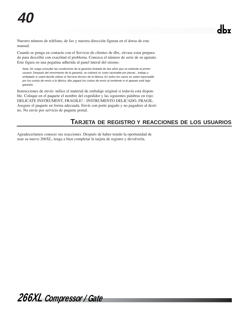Nuestro número de teléfono, de fax y nuestra dirección figuran en el dorso de este manual.

Cuando se ponga en contacto con el Servicio de clientes de dbx, sírvase estar preparado para describir con exactitud el problema. Conozca el número de serie de su aparato. Este figura en una pegatina adherida al panel lateral del mismo.

Nota: Se ruega consultar las condiciones de la garantía limitada de dos años que se extiende al primer usuario. Después del vencimiento de la garantía, se cobrará un costo razonable por piezas , trabajo y embalado si usted decide utilizar el Servicio técnico de la fábrica. En todos los casos es usted reponsable por los costos de envío a la fábrica. dbx pagará los costos de envío al remitente si el aparato está bajo garantía.

Instrucciones de envío: utilice el material de embalaje original si todavía está disponble. Coloque en el paquete el nombre del expedidor y las siguientes palabras en rojo: DELICATE INSTRUMENT, FRAGILE! - INSTRUMENTO DELICADO, FRAGIL. Asegure el paquete en forma adecuada. Envíe con porte pagado y no pagadero al destino. No envíe por servicio de paquete postal.

### **TARJETA DE REGISTRO Y REACCIONES DE LOS USUARIOS**

Agradeceríamos conocer sus reacciones. Después de haber tenido la oportunidad de usar su nuevo 266XL, tenga a bien completar la tarjeta de registro y devolverla.

*266XL Compressor / Gate*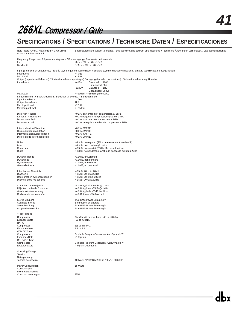## **SPECIFICATIONS / SPECIFICATIONS / TECHNISCHE DATEN / ESPECIFICACIONES**

Note / Note / Anm. / Nota: 0dBu = 0.775VRMS Specifications are subject to change. / Les spécifications peuvent être modifiées. / Technische Änderungen vorbehalten. / Las especificaciones están sometidas a cambio. Frequency Response / Réponse en fréquence / Frequenzgang / Respuesta de frecuencia<br>Flat<br>20Hz - 20kHz, +0, -0.5dB Flat 20Hz - 20KHz, +0, -0.5dB<br>
Randwidth 0.35Hz - 90KHz, +0, -0.5dB<br>
8andwidth 0.35Hz - 90KHz +0, -3dB 0.35Hz - 90kHz, +0, -3dB Input (Balanced or Unbalanced) / Entrée (symétrique ou asymétrique) / Eingang (symmetrisch/asymmetrisch / Entrada (equilibrada o desequilibrada)<br>  $\frac{1000}{2}$ Impedance  $>40kΩ$ <br>Max Level  $+22dBu$ Max Level<br>Output (Impedance Balanced) / Sortie (Impédance symétrique) / Ausgang (impedanzsymmetriert) / Salida (impedancia equilibrada) Impedance +4dBu: Balanced: 100Ω Unbalanced: 50Ω -10dBV: Balanced: 1kΩ Unbalanced: 500Ω  $\text{Max Level} \rightarrow +21\text{dBu}, \rightarrow +18\text{dBm} \text{ (into } 600\Omega)$ Sidechain Insert / Insert Sidechain / Sidechain-Anschluss / Sidechain Insert<br>Input Impedance >10kΩ<br>Output Impedance 2kΩ Input Impedance Output Impedance<br>
Max Input Level +22dBu<br>
+22dBu<br>
+22dBu Max Input Level +22dBu Max Output Level Distortion + Noise <0.2%; any amount of compression at 1kHz Klirrfaktor + Rauschen (<0,2% bei jedem Kompressionsgrad bei 1 kHz<br>
Distorsion + Bruit (+1 kHz compression à 1 kHz compression à 1 kHz compression à 1 kHz Distorsion + Bruit <0.2%; tout taux de compression à 1kHz <0,2%; cualquier cantidad de compresión a 1kHz Intermodulation Distortion <0.2% SMPTE<br>Distorsion Intermodulation <0,2% SMPTE Distorsion Intermodulation<br>
Intermodulationsverzerrungen<br>
<0,2% (SMPTE)<br>
<0,2% (SMPTE) Intermodulationsverzerrungen <0,2% (SMPTE) Distorsión de intermodulación Noise <-93dB, unweighted (22kHz measurement bandwidth) Bruit <-93dB, non pondéré (22kHz) Rauschen <-93dB, unbewertet (22kHz Messbandbreite)) Ruido <-93dB, no ponderado (ancho de banda de misura: 22kHz ) Dynamic Range **business and COV** >114dB, unweighted Dynamique >114dB, non pondéré Dynamikbereich >114dB, unbewertet >114dB, no ponderado Interchannel Crosstalk <-95dB, 20Hz to 20kHz<br>Diaphonie <-95dB, 20Hz à 20kHz <-95dB, 20Hz à 20kHz<br><-95dB, 20Hz bis 20kHz Übersprechen zwischen Kanälen <-95dB, 20Hz bis 20kHz Diafonía entre los canales Common Mode Rejection<br>
Réjection de Mode Commun<br>
>40dB, typique >55dB @ 1kHz Réjection de Mode Commun >40dB, typique >55dB @ 1kHz<br>Gleichtaktunterdrückung >40dB, typisch >55dB bei 1kHz Rechazo de modo común  $>40dB$ , típico >55dB a 1kHz Stereo Coupling True RMS Power Summing™<br>
Couplage Stéréo Couplage Couplage Stéréo Couplage Stéréo **Suite Sommation en énergie**<br>
Stereokopplung **Stereokopplung**<br>
Stereokopplung True RMS Power Summing™ Acoplamiento estéreo True RMS Power Summing™ THRESHOLD<br>Compressor OverEasy® or hard-knee; -40 to +20dBu<br>-60 to +10dBu Expander/Gate RATIO<br>Compressor 1:1 to Infinity:1<br>1:1 to 4:1 Expander/Gate ATTACK Time Compressor Scalable Program-Dependent AutoDynamic™ Expander/Gate RELEASE Time Compressor Compressor Scalable Program-Dependent AutoDynamic™<br>Expander/Gate Compressor Scalable Program-Dependent Program-Dependent Operating Voltage Tension Netzspannung Tensión de servicio 100VAC -120VAC 50/60Hz; 230VAC 50/60Hz Power Consumption 15 Watts Consommation Leistungsaufnahme Consumo de energía 15W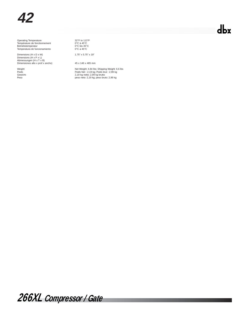Operating Temperature 32°F to 113°F Température de fonctionnement 0°C à 45°C Betriebstemperatur 0°C bis 45°C Temperatura de funcionamiento 0°C a 45°C

Dimensions (H x D x W) 1.75" x 5.75" x 19" Dimensions (H x P x L)<br>Abmessungen (H x T x B)<br>Dimensiones alto x prof x ancho) 45 x 146 x 485 mm

Weight Met Weight: 4.84 lbs; Shipping Weight: 6.6 lbs<br>
Poids Net : 2,99 kg<br>
Gewicht: 2,19 kg netto: 2,99 kg Poids brut<br>
Peso<br>
Peso<br>
Peso<br>
Peso<br>
Peso<br>
Peso<br>
Peso<br>
Peso<br>
Peso<br>
Peso<br>
Peso<br>
Peso<br>
Peso<br>
Peso<br>
Peso<br>
Peso<br>
Peso<br> Poids Poids Net : 2,19 kg; Poids brut : 2,99 kg Gewicht: 2,19 kg netto; 2,99 kg brutto Peso peso neto: 2,19 kg; peso bruto: 2,99 kg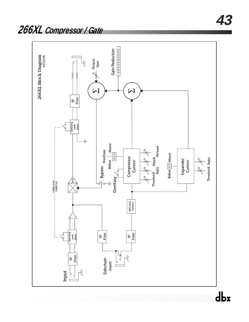

dbx